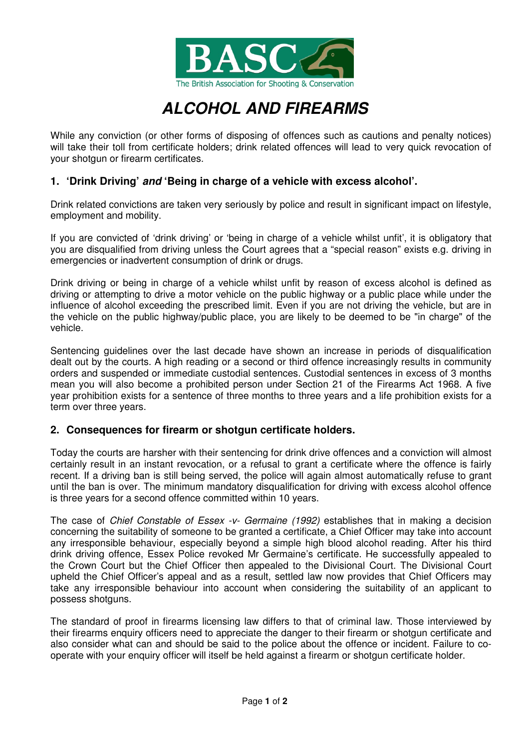

## **ALCOHOL AND FIREARMS**

While any conviction (or other forms of disposing of offences such as cautions and penalty notices) will take their toll from certificate holders; drink related offences will lead to very quick revocation of your shotgun or firearm certificates.

## **1. 'Drink Driving' and 'Being in charge of a vehicle with excess alcohol'.**

Drink related convictions are taken very seriously by police and result in significant impact on lifestyle, employment and mobility.

If you are convicted of 'drink driving' or 'being in charge of a vehicle whilst unfit', it is obligatory that you are disqualified from driving unless the Court agrees that a "special reason" exists e.g. driving in emergencies or inadvertent consumption of drink or drugs.

Drink driving or being in charge of a vehicle whilst unfit by reason of excess alcohol is defined as driving or attempting to drive a motor vehicle on the public highway or a public place while under the influence of alcohol exceeding the prescribed limit. Even if you are not driving the vehicle, but are in the vehicle on the public highway/public place, you are likely to be deemed to be "in charge" of the vehicle.

Sentencing guidelines over the last decade have shown an increase in periods of disqualification dealt out by the courts. A high reading or a second or third offence increasingly results in community orders and suspended or immediate custodial sentences. Custodial sentences in excess of 3 months mean you will also become a prohibited person under Section 21 of the Firearms Act 1968. A five year prohibition exists for a sentence of three months to three years and a life prohibition exists for a term over three years.

## **2. Consequences for firearm or shotgun certificate holders.**

Today the courts are harsher with their sentencing for drink drive offences and a conviction will almost certainly result in an instant revocation, or a refusal to grant a certificate where the offence is fairly recent. If a driving ban is still being served, the police will again almost automatically refuse to grant until the ban is over. The minimum mandatory disqualification for driving with excess alcohol offence is three years for a second offence committed within 10 years.

The case of Chief Constable of Essex -v- Germaine (1992) establishes that in making a decision concerning the suitability of someone to be granted a certificate, a Chief Officer may take into account any irresponsible behaviour, especially beyond a simple high blood alcohol reading. After his third drink driving offence, Essex Police revoked Mr Germaine's certificate. He successfully appealed to the Crown Court but the Chief Officer then appealed to the Divisional Court. The Divisional Court upheld the Chief Officer's appeal and as a result, settled law now provides that Chief Officers may take any irresponsible behaviour into account when considering the suitability of an applicant to possess shotguns.

The standard of proof in firearms licensing law differs to that of criminal law. Those interviewed by their firearms enquiry officers need to appreciate the danger to their firearm or shotgun certificate and also consider what can and should be said to the police about the offence or incident. Failure to cooperate with your enquiry officer will itself be held against a firearm or shotgun certificate holder.